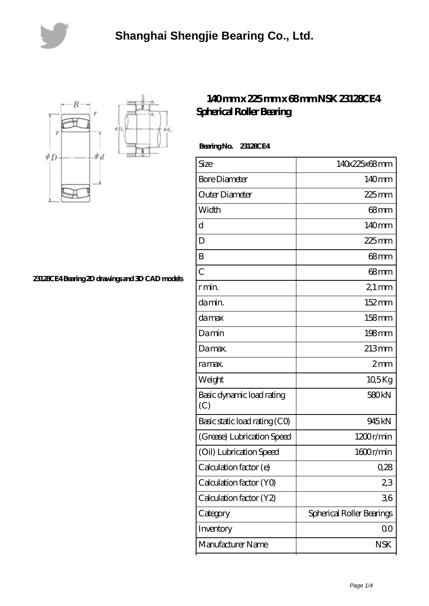



**[23128CE4 Bearing 2D drawings and 3D CAD models](https://lemeritagerestaurant.com/pic-446641.html)**

## **[140 mm x 225 mm x 68 mm NSK 23128CE4](https://lemeritagerestaurant.com/nsk-23128ce4-bearing/) [Spherical Roller Bearing](https://lemeritagerestaurant.com/nsk-23128ce4-bearing/)**

 **Bearing No. 23128CE4**

| Size                             | 140x225x68mm              |
|----------------------------------|---------------------------|
| <b>Bore Diameter</b>             | 140mm                     |
| Outer Diameter                   | $225$ mm                  |
| Width                            | $68 \text{mm}$            |
| d                                | 140 <sub>mm</sub>         |
| D                                | $225$ mm                  |
| B                                | 68mm                      |
| $\mathcal{C}$                    | 68 <sub>mm</sub>          |
| r min.                           | $21 \,\mathrm{mm}$        |
| damin.                           | 152mm                     |
| damax                            | 158mm                     |
| Damin                            | 198mm                     |
| Damax.                           | 213mm                     |
| ra max.                          | 2mm                       |
| Weight                           | $10,5$ Kg                 |
| Basic dynamic load rating<br>(C) | 580 <sub>kN</sub>         |
| Basic static load rating (CO)    | 945kN                     |
| (Grease) Lubrication Speed       | 1200r/min                 |
| (Oil) Lubrication Speed          | 1600r/min                 |
| Calculation factor (e)           | 0,28                      |
| Calculation factor (YO)          | 23                        |
| Calculation factor (Y2)          | 36                        |
| Category                         | Spherical Roller Bearings |
| Inventory                        | 0 <sub>0</sub>            |
| Manufacturer Name                | <b>NSK</b>                |
|                                  |                           |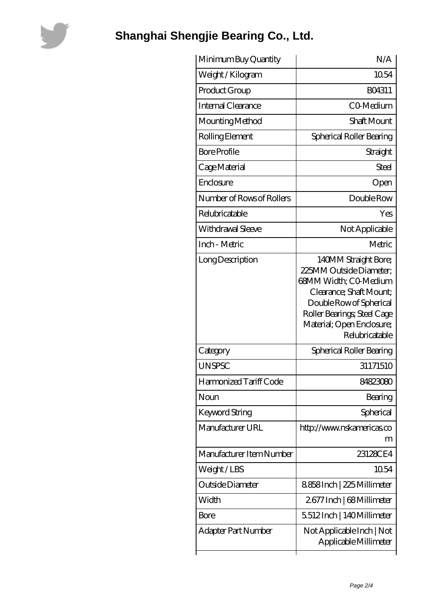

## **[Shanghai Shengjie Bearing Co., Ltd.](https://lemeritagerestaurant.com)**

| N/A                                                                                                                                                                                                          |
|--------------------------------------------------------------------------------------------------------------------------------------------------------------------------------------------------------------|
| 1054                                                                                                                                                                                                         |
| BO4311                                                                                                                                                                                                       |
| CO-Medium                                                                                                                                                                                                    |
| Shaft Mount                                                                                                                                                                                                  |
| Spherical Roller Bearing                                                                                                                                                                                     |
| Straight                                                                                                                                                                                                     |
| Steel                                                                                                                                                                                                        |
| Open                                                                                                                                                                                                         |
| Double Row                                                                                                                                                                                                   |
| Yes                                                                                                                                                                                                          |
| Not Applicable                                                                                                                                                                                               |
| Metric                                                                                                                                                                                                       |
| 140MM Straight Bore;<br>225MM Outside Diameter:<br>68MM Width; CO-Medium<br>Clearance; Shaft Mount;<br>Double Row of Spherical<br>Roller Bearings; Steel Cage<br>Material; Open Enclosure;<br>Relubricatable |
| Spherical Roller Bearing                                                                                                                                                                                     |
| 31171510                                                                                                                                                                                                     |
| 84823080                                                                                                                                                                                                     |
| Bearing                                                                                                                                                                                                      |
| Spherical                                                                                                                                                                                                    |
| http://www.nskamericas.co<br>m                                                                                                                                                                               |
| 23128CE4                                                                                                                                                                                                     |
| 10.54                                                                                                                                                                                                        |
| 8858Inch   225 Millimeter                                                                                                                                                                                    |
| 2677 Inch   68 Millimeter                                                                                                                                                                                    |
| 5512Inch   140Millimeter                                                                                                                                                                                     |
| Not Applicable Inch   Not<br>Applicable Millimeter                                                                                                                                                           |
|                                                                                                                                                                                                              |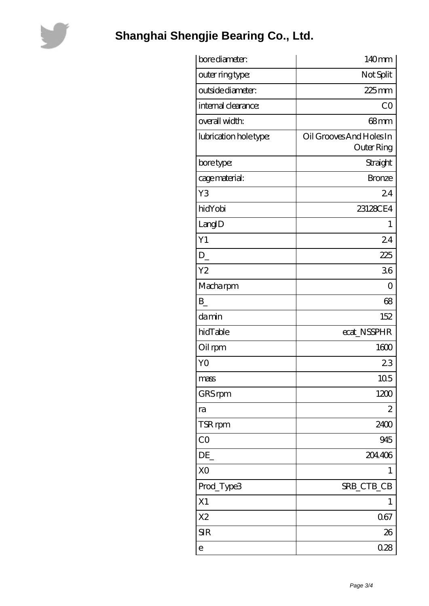

## **[Shanghai Shengjie Bearing Co., Ltd.](https://lemeritagerestaurant.com)**

| bore diameter:         | 140mm                    |
|------------------------|--------------------------|
| outer ring type:       | Not Split                |
| outside diameter:      | $225$ mm                 |
| internal clearance:    | CO                       |
| overall width:         | 68mm                     |
| lubrication hole type: | Oil Grooves And Holes In |
|                        | <b>Outer Ring</b>        |
| bore type:             | Straight                 |
| cage material:         | <b>Bronze</b>            |
| Y3                     | 24                       |
| hidYobi                | 23128CE4                 |
| LangID                 | 1                        |
| Y1                     | 24                       |
| D                      | 225                      |
| Y <sub>2</sub>         | 36                       |
| Macharpm               | $\overline{0}$           |
| $B_{-}$                | 68                       |
| damin                  | 152                      |
| hidTable               | ecat_NSSPHR              |
| Oil rpm                | 1600                     |
| Y <sub>O</sub>         | 23                       |
| mass                   | 105                      |
| GRS rpm                | 1200                     |
| ra                     | $\mathbf{z}$             |
| TSR rpm                | 2400                     |
| CO                     | 945                      |
| DE                     | 204406                   |
| X <sub>O</sub>         | 1                        |
| Prod_Type3             | SRB_CTB_CB               |
| X1                     | 1                        |
| X <sub>2</sub>         | 067                      |
| <b>SIR</b>             | 26                       |
| e                      | 0.28                     |